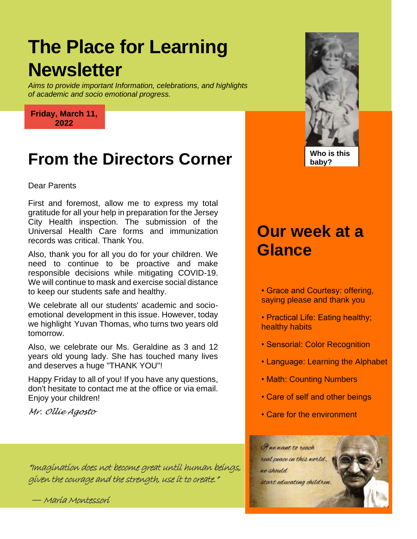# **The Place for Learning Newsletter**

*Aims to provide important Information, celebrations, and highlights of academic and socio emotional progress.*

**Friday, March 11, 2022**

#### **From the Directors Corner**

Dear Parents

*First and foremost, allow me to express my total gratitude for all your help in*  gratitude for all your help in preparation for the Jersey City Health inspection. The submission of the<br>Universed Health Care forms and immunication *inspection. The submission of the*  records was critical. Thank You. First and foremost, allow me to express my total Universal Health Care forms and immunization

*Universal Health Care forms and*  Also, thank you for all you do for your children. We need to continue to be proactive and make *You.* We will continue to mask and exercise social distance responsible decisions while mitigating COVID-19. to keep our students safe and healthy.

emotional development in this issue. However, today<br>we highlight *Yours* There is who turns turn versus ald we highlight Yuvan Thomas, who turns two years old<br>tomorrow. We celebrate all our students' academic and sociotomorrow.

Also, we celebrate our Ms. Geraldine as 3 and 12 years old young lady. She has touched many lives<br>and desawise a bugs "THANK YOU" and deserves a huge "THANK YOU"!

*continue to mask and exercise social*  Happy Friday to all of you! If you have any questions, *distance to keep our students safe and*  don't hesitate to contact me at the office or via email. *healthy.*  Enjoy your children!

*Mr. Ollie Agosto*

*issue. However, today we highlight Yuvan*  "Imagination does not become great until human beings, *Thomas, who turns two years old*  given the courage and the strength, use it to create."

*tomorrow. Also, we present our Ms.*  **―** Maria Montessori *Geraldine as 3 and 12 years old young* 

### **Our week at a Glance**

- Grace and Courtesy: offering, saying please and thank you
- Practical Life: Eating healthy; healthy habits
- Sensorial: Color Recognition
- Language: Learning the Alphabet
- Math: Counting Numbers
- Care of self and other beings
- Care for the environment





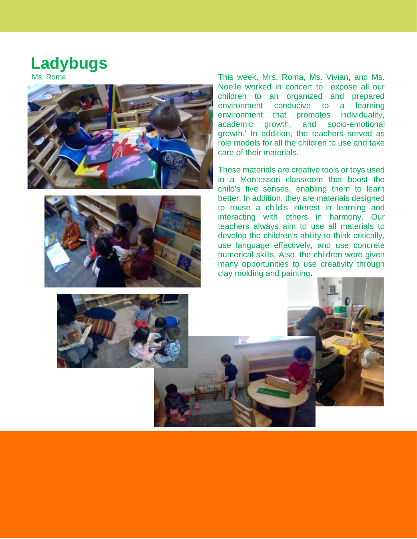### **Ladybugs**





Ms. Roma This week, Mrs. Roma, Ms. Vivian, and Ms. Noelle worked in concert to expose all our children to an organized and prepared environment conducive to a learning environment that promotes individuality, academic growth, and socio -emotional growth.' In addition, the teachers served as role models for all the children to use and take care of their materials.

> These materials are creative tools or toys used in a Montessori classroom that boost the child's five senses, enabling them to learn better. In addition, they are materials designed to rouse a child's interest in learning and interacting with others in harmony. Our teachers always aim to use all materials to develop the children's ability to think critically, use language effectively, and use concrete numerical skills. Also, the children were given many opportunities to use creativity through clay molding and painting .

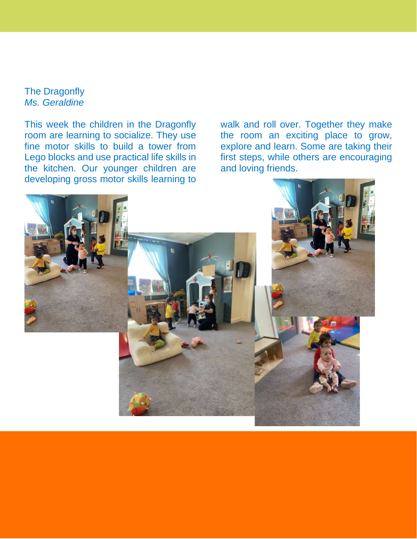The Dragonfly *Ms. Geraldine*  $\mathsf{f}\mathsf{I}\mathsf{v}$  $\frac{1}{2}$  $\sigma$ 

This week the children in the Dragonfly room are learning to socialize. They use fine motor skills to build a tower from Lego blocks and use practical life skills in the kitchen. Our younger children are developing gross motor skills learning to

walk and roll over. Together they make the room an exciting place to grow, explore and learn. Some are taking their first steps, while others are encouraging and loving friends.